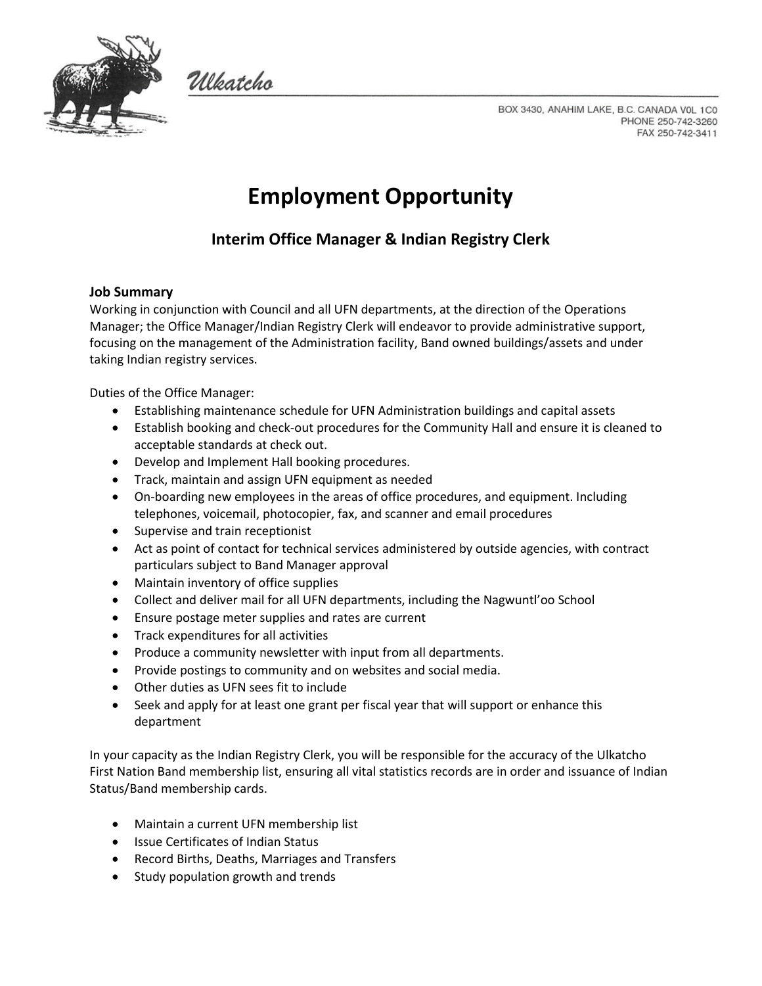

Wleatcho

BOX 3430, ANAHIM LAKE, B.C. CANADA VOL 1C0 PHONE 250-742-3260 FAX 250-742-3411

# **Employment Opportunity**

# **Interim Office Manager & Indian Registry Clerk**

#### **Job Summary**

Working in conjunction with Council and all UFN departments, at the direction of the Operations Manager; the Office Manager/Indian Registry Clerk will endeavor to provide administrative support, focusing on the management of the Administration facility, Band owned buildings/assets and under taking Indian registry services.

Duties of the Office Manager:

- Establishing maintenance schedule for UFN Administration buildings and capital assets
- Establish booking and check-out procedures for the Community Hall and ensure it is cleaned to acceptable standards at check out.
- Develop and Implement Hall booking procedures.
- Track, maintain and assign UFN equipment as needed
- On-boarding new employees in the areas of office procedures, and equipment. Including telephones, voicemail, photocopier, fax, and scanner and email procedures
- Supervise and train receptionist
- Act as point of contact for technical services administered by outside agencies, with contract particulars subject to Band Manager approval
- Maintain inventory of office supplies
- Collect and deliver mail for all UFN departments, including the Nagwuntl'oo School
- Ensure postage meter supplies and rates are current
- Track expenditures for all activities
- Produce a community newsletter with input from all departments.
- Provide postings to community and on websites and social media.
- Other duties as UFN sees fit to include
- Seek and apply for at least one grant per fiscal year that will support or enhance this department

In your capacity as the Indian Registry Clerk, you will be responsible for the accuracy of the Ulkatcho First Nation Band membership list, ensuring all vital statistics records are in order and issuance of Indian Status/Band membership cards.

- Maintain a current UFN membership list
- Issue Certificates of Indian Status
- Record Births, Deaths, Marriages and Transfers
- Study population growth and trends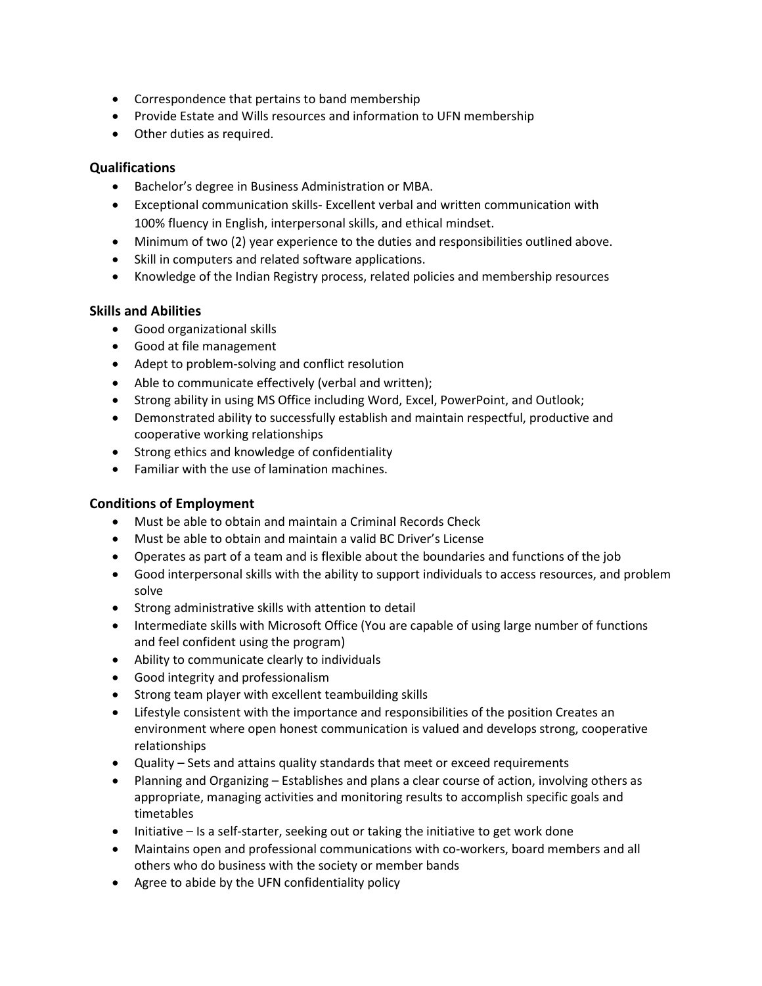- Correspondence that pertains to band membership
- Provide Estate and Wills resources and information to UFN membership
- Other duties as required.

#### **Qualifications**

- Bachelor's degree in Business Administration or MBA.
- Exceptional communication skills- Excellent verbal and written communication with 100% fluency in English, interpersonal skills, and ethical mindset.
- Minimum of two (2) year experience to the duties and responsibilities outlined above.
- Skill in computers and related software applications.
- Knowledge of the Indian Registry process, related policies and membership resources

### **Skills and Abilities**

- Good organizational skills
- Good at file management
- Adept to problem-solving and conflict resolution
- Able to communicate effectively (verbal and written);
- Strong ability in using MS Office including Word, Excel, PowerPoint, and Outlook;
- Demonstrated ability to successfully establish and maintain respectful, productive and cooperative working relationships
- Strong ethics and knowledge of confidentiality
- Familiar with the use of lamination machines.

## **Conditions of Employment**

- Must be able to obtain and maintain a Criminal Records Check
- Must be able to obtain and maintain a valid BC Driver's License
- Operates as part of a team and is flexible about the boundaries and functions of the job
- Good interpersonal skills with the ability to support individuals to access resources, and problem solve
- Strong administrative skills with attention to detail
- Intermediate skills with Microsoft Office (You are capable of using large number of functions and feel confident using the program)
- Ability to communicate clearly to individuals
- Good integrity and professionalism
- Strong team player with excellent teambuilding skills
- Lifestyle consistent with the importance and responsibilities of the position Creates an environment where open honest communication is valued and develops strong, cooperative relationships
- Quality Sets and attains quality standards that meet or exceed requirements
- Planning and Organizing Establishes and plans a clear course of action, involving others as appropriate, managing activities and monitoring results to accomplish specific goals and timetables
- Initiative Is a self-starter, seeking out or taking the initiative to get work done
- Maintains open and professional communications with co-workers, board members and all others who do business with the society or member bands
- Agree to abide by the UFN confidentiality policy